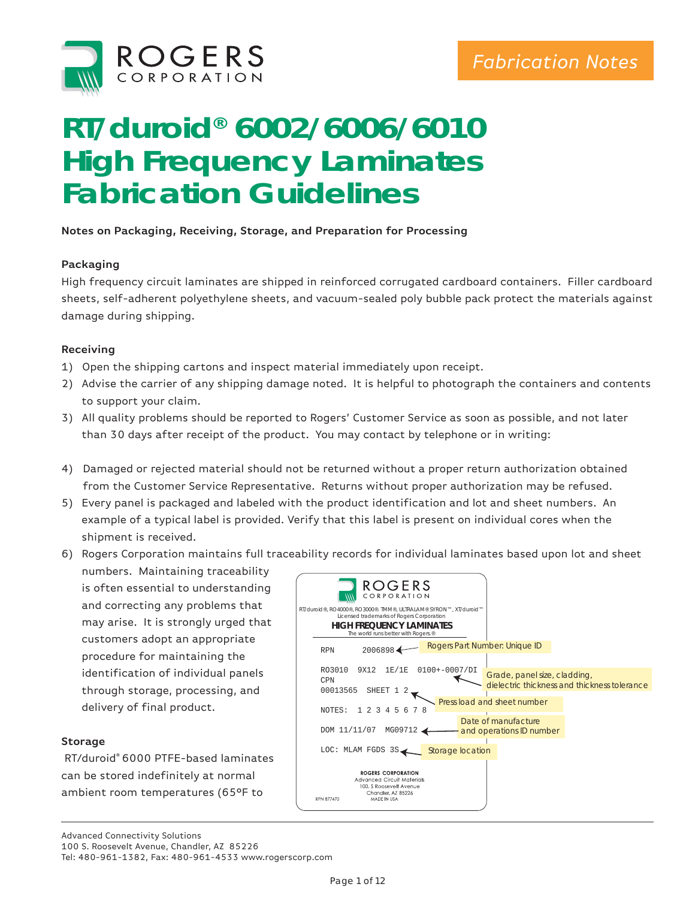

# **RT/duroid® 6002/6006/6010 High Frequency Laminates Fabrication Guidelines**

## **Notes on Packaging, Receiving, Storage, and Preparation for Processing**

## **Packaging**

High frequency circuit laminates are shipped in reinforced corrugated cardboard containers. Filler cardboard sheets, self-adherent polyethylene sheets, and vacuum-sealed poly bubble pack protect the materials against damage during shipping.

## **Receiving**

- 1) Open the shipping cartons and inspect material immediately upon receipt.
- 2) Advise the carrier of any shipping damage noted. It is helpful to photograph the containers and contents to support your claim.
- 3) All quality problems should be reported to Rogers' Customer Service as soon as possible, and not later than 30 days after receipt of the product. You may contact by telephone or in writing:
- 4) Damaged or rejected material should not be returned without a proper return authorization obtained from the Customer Service Representative. Returns without proper authorization may be refused.
- 5) Every panel is packaged and labeled with the product identification and lot and sheet numbers. An example of a typical label is provided. Verify that this label is present on individual cores when the shipment is received.
- 6) Rogers Corporation maintains full traceability records for individual laminates based upon lot and sheet
- numbers. Maintaining traceability is often essential to understanding and correcting any problems that may arise. It is strongly urged that customers adopt an appropriate procedure for maintaining the identification of individual panels through storage, processing, and delivery of final product.

## **Storage**

RT/duroid® 6000 PTFE-based laminates can be stored indefinitely at normal ambient room temperatures (65°F to

| <b>ROGERS</b><br>CORPORATION                                                                                                                                                            |                  |                                                                              |
|-----------------------------------------------------------------------------------------------------------------------------------------------------------------------------------------|------------------|------------------------------------------------------------------------------|
| RT/duroid®, RO4000®, RO3000®. TMM®, ULTRALAM® SYRON™, XT/duroid™<br>Licensed trademarks of Rogers Corporation<br><b>HIGH FREQUENCY LAMINATES</b><br>The world runs better with Rogers.® |                  |                                                                              |
| 2006898<br><b>RPN</b>                                                                                                                                                                   |                  | Rogers Part Number: Unique ID                                                |
| R03010<br>9X12<br>1E/1E<br><b>CPN</b><br>00013565<br>SHEET 1 2                                                                                                                          | $0100+-0007/DI$  | Grade, panel size, cladding,<br>dielectric thickness and thickness tolerance |
| NOTES:<br>2, 3<br>7 R<br>1<br>56<br>4                                                                                                                                                   |                  | Press load and sheet number                                                  |
| MG09712<br>DOM 11/11/07                                                                                                                                                                 |                  | Date of manufacture<br>and operations ID number                              |
| LOC: MLAM FGDS 3S                                                                                                                                                                       | Storage location |                                                                              |
| <b>ROGERS CORPORATION</b><br>Advanced Circuit Materials<br>100, S Roosevelt Avenue<br>Chandler, AZ 85226<br>RPN 877470<br>MADE IN USA                                                   |                  |                                                                              |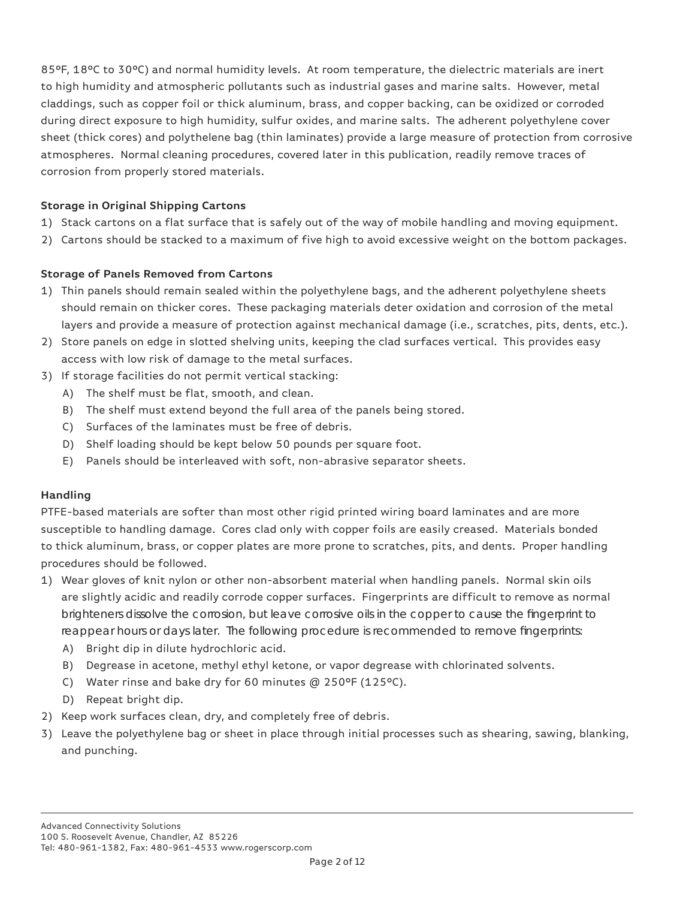85°F, 18°C to 30°C) and normal humidity levels. At room temperature, the dielectric materials are inert to high humidity and atmospheric pollutants such as industrial gases and marine salts. However, metal claddings, such as copper foil or thick aluminum, brass, and copper backing, can be oxidized or corroded during direct exposure to high humidity, sulfur oxides, and marine salts. The adherent polyethylene cover sheet (thick cores) and polythelene bag (thin laminates) provide a large measure of protection from corrosive atmospheres. Normal cleaning procedures, covered later in this publication, readily remove traces of corrosion from properly stored materials.

# **Storage in Original Shipping Cartons**

- 1) Stack cartons on a flat surface that is safely out of the way of mobile handling and moving equipment.
- 2) Cartons should be stacked to a maximum of five high to avoid excessive weight on the bottom packages.

# **Storage of Panels Removed from Cartons**

- 1) Thin panels should remain sealed within the polyethylene bags, and the adherent polyethylene sheets should remain on thicker cores. These packaging materials deter oxidation and corrosion of the metal layers and provide a measure of protection against mechanical damage (i.e., scratches, pits, dents, etc.).
- 2) Store panels on edge in slotted shelving units, keeping the clad surfaces vertical. This provides easy access with low risk of damage to the metal surfaces.
- 3) If storage facilities do not permit vertical stacking:
	- A) The shelf must be flat, smooth, and clean.
	- B) The shelf must extend beyond the full area of the panels being stored.
	- C) Surfaces of the laminates must be free of debris.
	- D) Shelf loading should be kept below 50 pounds per square foot.
	- E) Panels should be interleaved with soft, non-abrasive separator sheets.

# **Handling**

PTFE-based materials are softer than most other rigid printed wiring board laminates and are more susceptible to handling damage. Cores clad only with copper foils are easily creased. Materials bonded to thick aluminum, brass, or copper plates are more prone to scratches, pits, and dents. Proper handling procedures should be followed.

- 1) Wear gloves of knit nylon or other non-absorbent material when handling panels. Normal skin oils are slightly acidic and readily corrode copper surfaces. Fingerprints are difficult to remove as normal brighteners dissolve the corrosion, but leave corrosive oils in the copper to cause the fingerprint to reappear hours or days later. The following procedure is recommended to remove fingerprints:
	- A) Bright dip in dilute hydrochloric acid.
	- B) Degrease in acetone, methyl ethyl ketone, or vapor degrease with chlorinated solvents.
	- C) Water rinse and bake dry for 60 minutes @ 250°F (125°C).
	- D) Repeat bright dip.
- 2) Keep work surfaces clean, dry, and completely free of debris.
- 3) Leave the polyethylene bag or sheet in place through initial processes such as shearing, sawing, blanking, and punching.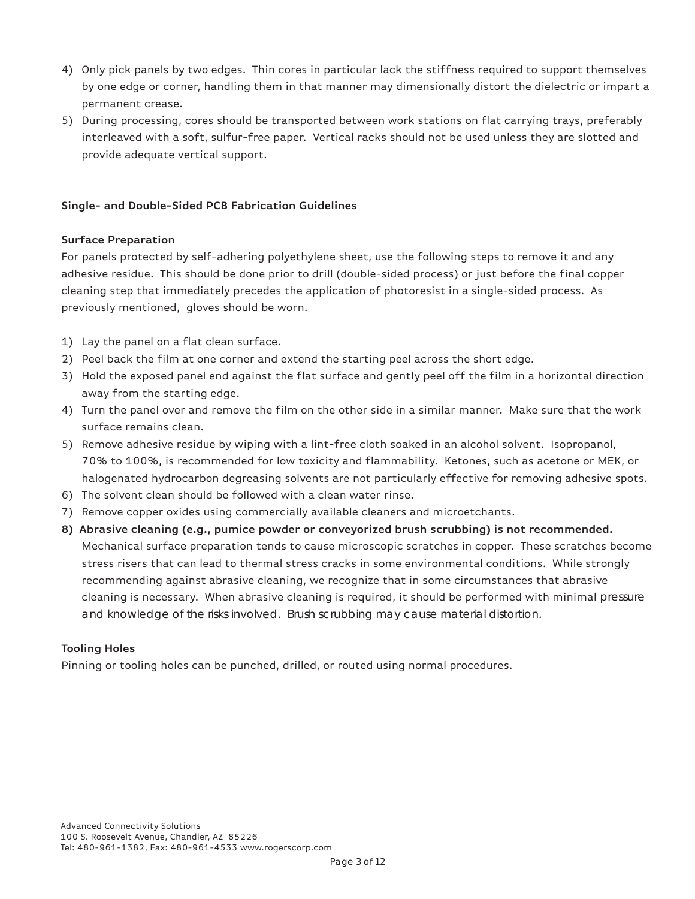- 4) Only pick panels by two edges. Thin cores in particular lack the stiffness required to support themselves by one edge or corner, handling them in that manner may dimensionally distort the dielectric or impart a permanent crease.
- 5) During processing, cores should be transported between work stations on flat carrying trays, preferably interleaved with a soft, sulfur-free paper. Vertical racks should not be used unless they are slotted and provide adequate vertical support.

# **Single- and Double-Sided PCB Fabrication Guidelines**

# **Surface Preparation**

For panels protected by self-adhering polyethylene sheet, use the following steps to remove it and any adhesive residue. This should be done prior to drill (double-sided process) or just before the final copper cleaning step that immediately precedes the application of photoresist in a single-sided process. As previously mentioned, gloves should be worn.

- 1) Lay the panel on a flat clean surface.
- 2) Peel back the film at one corner and extend the starting peel across the short edge.
- 3) Hold the exposed panel end against the flat surface and gently peel off the film in a horizontal direction away from the starting edge.
- 4) Turn the panel over and remove the film on the other side in a similar manner. Make sure that the work surface remains clean.
- 5) Remove adhesive residue by wiping with a lint-free cloth soaked in an alcohol solvent. Isopropanol, 70% to 100%, is recommended for low toxicity and flammability. Ketones, such as acetone or MEK, or halogenated hydrocarbon degreasing solvents are not particularly effective for removing adhesive spots.
- 6) The solvent clean should be followed with a clean water rinse.
- 7) Remove copper oxides using commercially available cleaners and microetchants.
- **8) Abrasive cleaning (e.g., pumice powder or conveyorized brush scrubbing) is not recommended.**  Mechanical surface preparation tends to cause microscopic scratches in copper. These scratches become stress risers that can lead to thermal stress cracks in some environmental conditions. While strongly recommending against abrasive cleaning, we recognize that in some circumstances that abrasive cleaning is necessary. When abrasive cleaning is required, it should be performed with minimal pressure and knowledge of the risks involved. Brush scrubbing may cause material distortion.

# **Tooling Holes**

Pinning or tooling holes can be punched, drilled, or routed using normal procedures.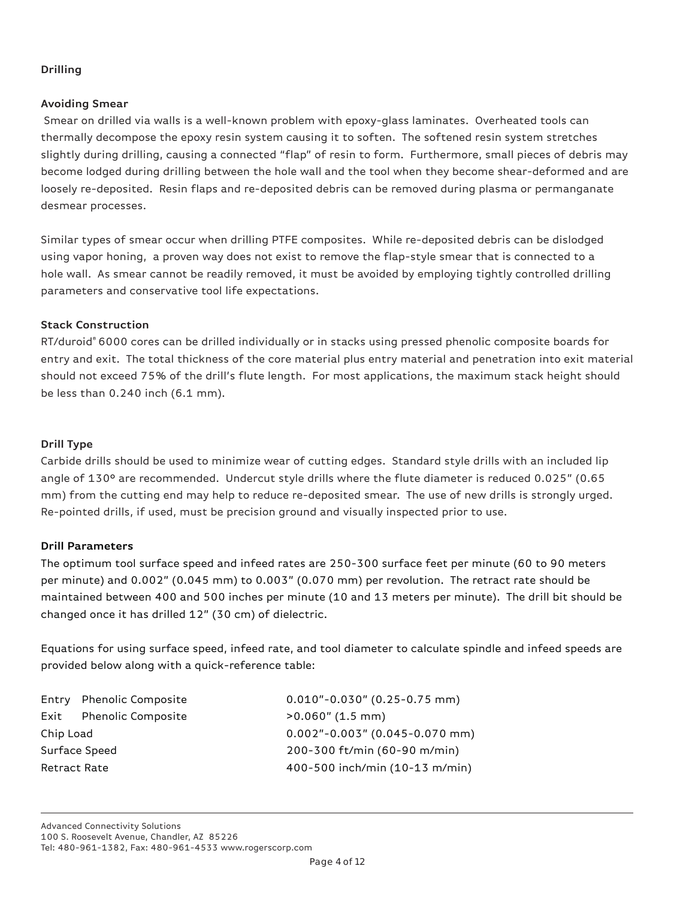# **Drilling**

# **Avoiding Smear**

 Smear on drilled via walls is a well-known problem with epoxy-glass laminates. Overheated tools can thermally decompose the epoxy resin system causing it to soften. The softened resin system stretches slightly during drilling, causing a connected "flap" of resin to form. Furthermore, small pieces of debris may become lodged during drilling between the hole wall and the tool when they become shear-deformed and are loosely re-deposited. Resin flaps and re-deposited debris can be removed during plasma or permanganate desmear processes.

Similar types of smear occur when drilling PTFE composites. While re-deposited debris can be dislodged using vapor honing, a proven way does not exist to remove the flap-style smear that is connected to a hole wall. As smear cannot be readily removed, it must be avoided by employing tightly controlled drilling parameters and conservative tool life expectations.

# **Stack Construction**

RT/duroid® 6000 cores can be drilled individually or in stacks using pressed phenolic composite boards for entry and exit. The total thickness of the core material plus entry material and penetration into exit material should not exceed 75% of the drill's flute length. For most applications, the maximum stack height should be less than 0.240 inch (6.1 mm).

## **Drill Type**

Carbide drills should be used to minimize wear of cutting edges. Standard style drills with an included lip angle of 130° are recommended. Undercut style drills where the flute diameter is reduced 0.025" (0.65 mm) from the cutting end may help to reduce re-deposited smear. The use of new drills is strongly urged. Re-pointed drills, if used, must be precision ground and visually inspected prior to use.

# **Drill Parameters**

The optimum tool surface speed and infeed rates are 250-300 surface feet per minute (60 to 90 meters per minute) and 0.002" (0.045 mm) to 0.003" (0.070 mm) per revolution. The retract rate should be maintained between 400 and 500 inches per minute (10 and 13 meters per minute). The drill bit should be changed once it has drilled 12" (30 cm) of dielectric.

Equations for using surface speed, infeed rate, and tool diameter to calculate spindle and infeed speeds are provided below along with a quick-reference table:

Exit Phenolic Composite >0.060" (1.5 mm)

Entry Phenolic Composite 0.010"-0.030" (0.25-0.75 mm) Chip Load 0.002"-0.003" (0.045-0.070 mm) Surface Speed 200-300 ft/min (60-90 m/min) Retract Rate 400-500 inch/min (10-13 m/min)

Advanced Connectivity Solutions 100 S. Roosevelt Avenue, Chandler, AZ 85226 Tel: 480-961-1382, Fax: 480-961-4533 www.rogerscorp.com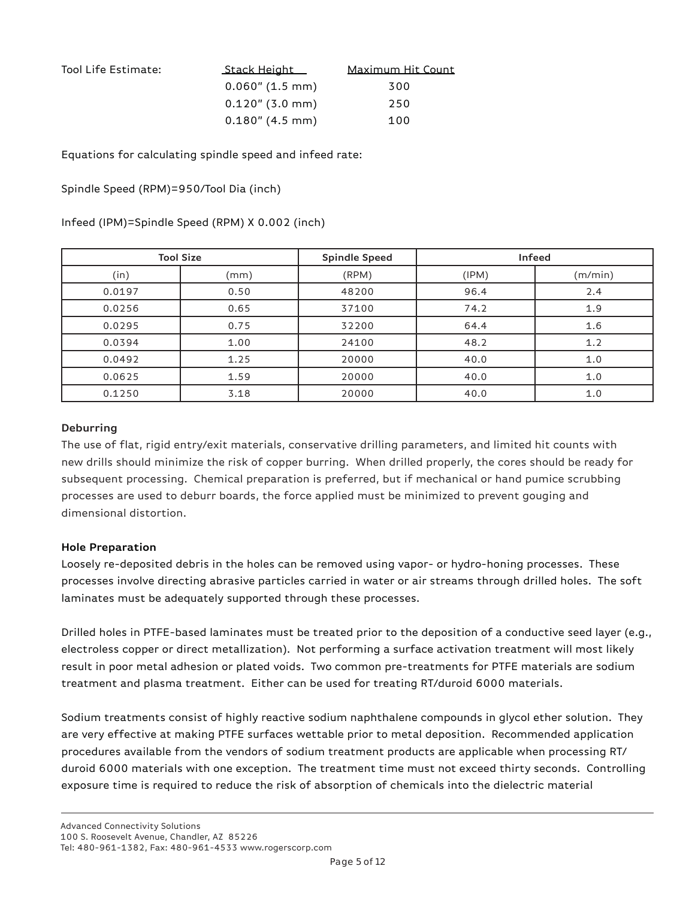| Tool Life Estimate: | <u>_Stack Height _</u> | Maximum Hit Count |
|---------------------|------------------------|-------------------|
|                     | $0.060$ " (1.5 mm)     | 300               |
|                     | $0.120$ " (3.0 mm)     | 250               |
|                     | $0.180''$ (4.5 mm)     | 100               |

Equations for calculating spindle speed and infeed rate:

Spindle Speed (RPM)=950/Tool Dia (inch)

## Infeed (IPM)=Spindle Speed (RPM) X 0.002 (inch)

|        | <b>Tool Size</b> | <b>Spindle Speed</b> |       | Infeed  |
|--------|------------------|----------------------|-------|---------|
| (in)   | (mm)             | (RPM)                | (IPM) | (m/min) |
| 0.0197 | 0.50             | 48200                | 96.4  | 2.4     |
| 0.0256 | 0.65             | 37100                | 74.2  | 1.9     |
| 0.0295 | 0.75             | 32200                | 64.4  | 1.6     |
| 0.0394 | 1.00             | 24100                | 48.2  | 1.2     |
| 0.0492 | 1.25             | 20000                | 40.0  | 1.0     |
| 0.0625 | 1.59             | 20000                | 40.0  | 1.0     |
| 0.1250 | 3.18             | 20000                | 40.0  | 1.0     |

## **Deburring**

The use of flat, rigid entry/exit materials, conservative drilling parameters, and limited hit counts with new drills should minimize the risk of copper burring. When drilled properly, the cores should be ready for subsequent processing. Chemical preparation is preferred, but if mechanical or hand pumice scrubbing processes are used to deburr boards, the force applied must be minimized to prevent gouging and dimensional distortion.

## **Hole Preparation**

Loosely re-deposited debris in the holes can be removed using vapor- or hydro-honing processes. These processes involve directing abrasive particles carried in water or air streams through drilled holes. The soft laminates must be adequately supported through these processes.

Drilled holes in PTFE-based laminates must be treated prior to the deposition of a conductive seed layer (e.g., electroless copper or direct metallization). Not performing a surface activation treatment will most likely result in poor metal adhesion or plated voids. Two common pre-treatments for PTFE materials are sodium treatment and plasma treatment. Either can be used for treating RT/duroid 6000 materials.

Sodium treatments consist of highly reactive sodium naphthalene compounds in glycol ether solution. They are very effective at making PTFE surfaces wettable prior to metal deposition. Recommended application procedures available from the vendors of sodium treatment products are applicable when processing RT/ duroid 6000 materials with one exception. The treatment time must not exceed thirty seconds. Controlling exposure time is required to reduce the risk of absorption of chemicals into the dielectric material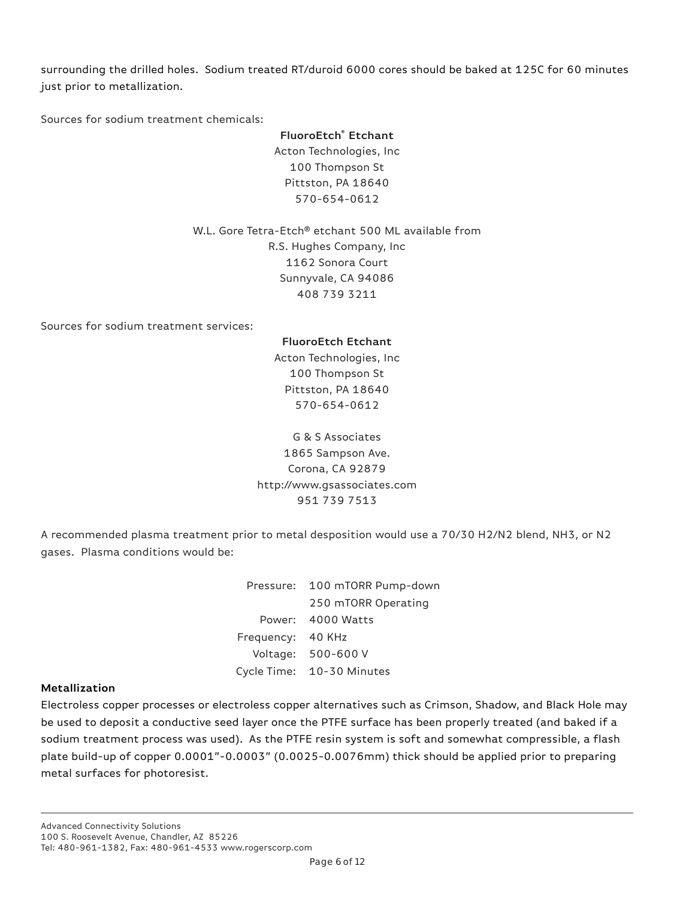surrounding the drilled holes. Sodium treated RT/duroid 6000 cores should be baked at 125C for 60 minutes just prior to metallization.

Sources for sodium treatment chemicals:

**FluoroEtch® Etchant** Acton Technologies, Inc 100 Thompson St Pittston, PA 18640 570-654-0612

W.L. Gore Tetra-Etch® etchant 500 ML available from R.S. Hughes Company, Inc 1162 Sonora Court Sunnyvale, CA 94086 408 739 3211

Sources for sodium treatment services:

## **FluoroEtch Etchant**

Acton Technologies, Inc 100 Thompson St Pittston, PA 18640 570-654-0612

G & S Associates 1865 Sampson Ave. Corona, CA 92879 http://www.gsassociates.com 951 739 7513

A recommended plasma treatment prior to metal desposition would use a 70/30 H2/N2 blend, NH3, or N2 gases. Plasma conditions would be:

|                   | Pressure: 100 mTORR Pump-down |
|-------------------|-------------------------------|
|                   | 250 mTORR Operating           |
|                   | Power: 4000 Watts             |
| Frequency: 40 KHz |                               |
|                   | Voltage: 500-600 V            |
|                   | Cycle Time: 10-30 Minutes     |

## **Metallization**

Electroless copper processes or electroless copper alternatives such as Crimson, Shadow, and Black Hole may be used to deposit a conductive seed layer once the PTFE surface has been properly treated (and baked if a sodium treatment process was used). As the PTFE resin system is soft and somewhat compressible, a flash plate build-up of copper 0.0001"-0.0003" (0.0025-0.0076mm) thick should be applied prior to preparing metal surfaces for photoresist.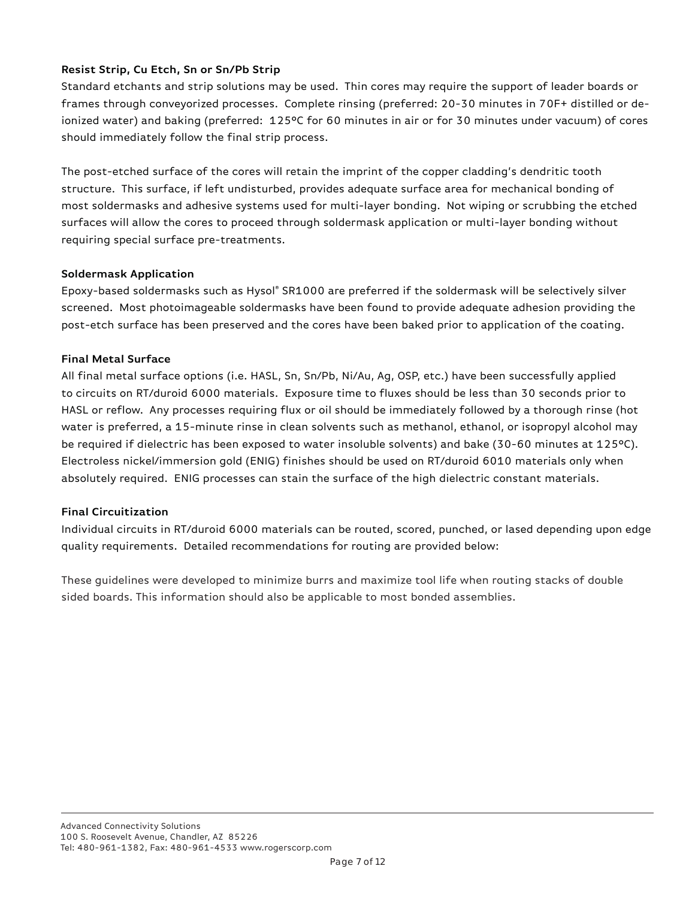# **Resist Strip, Cu Etch, Sn or Sn/Pb Strip**

Standard etchants and strip solutions may be used. Thin cores may require the support of leader boards or frames through conveyorized processes. Complete rinsing (preferred: 20-30 minutes in 70F+ distilled or deionized water) and baking (preferred: 125°C for 60 minutes in air or for 30 minutes under vacuum) of cores should immediately follow the final strip process.

The post-etched surface of the cores will retain the imprint of the copper cladding's dendritic tooth structure. This surface, if left undisturbed, provides adequate surface area for mechanical bonding of most soldermasks and adhesive systems used for multi-layer bonding. Not wiping or scrubbing the etched surfaces will allow the cores to proceed through soldermask application or multi-layer bonding without requiring special surface pre-treatments.

# **Soldermask Application**

Epoxy-based soldermasks such as Hysol® SR1000 are preferred if the soldermask will be selectively silver screened. Most photoimageable soldermasks have been found to provide adequate adhesion providing the post-etch surface has been preserved and the cores have been baked prior to application of the coating.

## **Final Metal Surface**

All final metal surface options (i.e. HASL, Sn, Sn/Pb, Ni/Au, Ag, OSP, etc.) have been successfully applied to circuits on RT/duroid 6000 materials. Exposure time to fluxes should be less than 30 seconds prior to HASL or reflow. Any processes requiring flux or oil should be immediately followed by a thorough rinse (hot water is preferred, a 15-minute rinse in clean solvents such as methanol, ethanol, or isopropyl alcohol may be required if dielectric has been exposed to water insoluble solvents) and bake (30-60 minutes at 125°C). Electroless nickel/immersion gold (ENIG) finishes should be used on RT/duroid 6010 materials only when absolutely required. ENIG processes can stain the surface of the high dielectric constant materials.

# **Final Circuitization**

Individual circuits in RT/duroid 6000 materials can be routed, scored, punched, or lased depending upon edge quality requirements. Detailed recommendations for routing are provided below:

These guidelines were developed to minimize burrs and maximize tool life when routing stacks of double sided boards. This information should also be applicable to most bonded assemblies.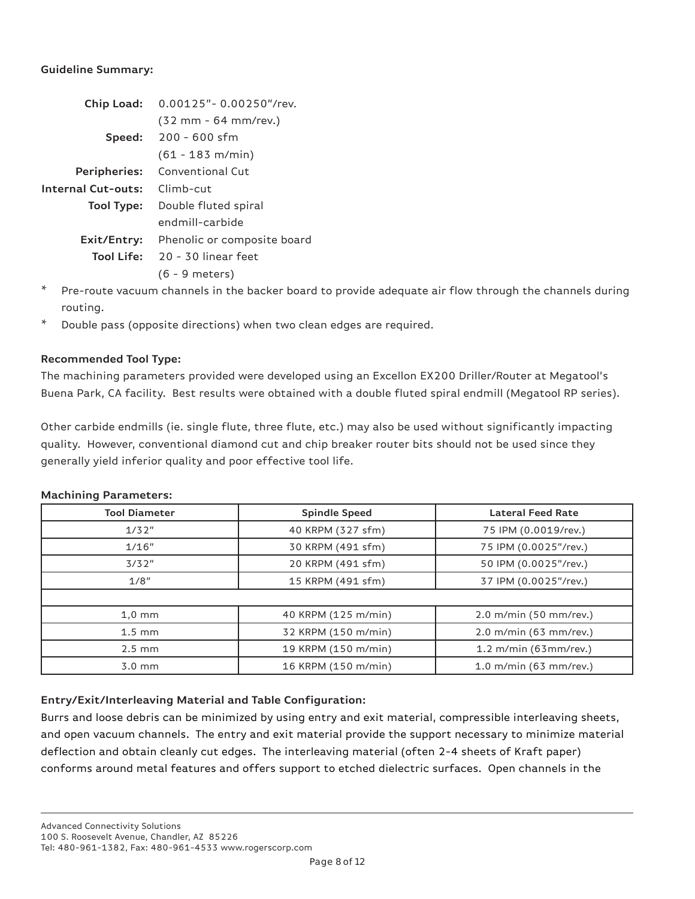## **Guideline Summary:**

| Chip Load:                | $0.00125"$ - $0.00250"$ /rev. |  |
|---------------------------|-------------------------------|--|
|                           | (32 mm - 64 mm/rev.)          |  |
|                           | Speed: 200 - 600 sfm          |  |
|                           | $(61 - 183 \text{ m/min})$    |  |
| Peripheries:              | Conventional Cut              |  |
| <b>Internal Cut-outs:</b> | Climb-cut                     |  |
| Tool Type:                | Double fluted spiral          |  |
|                           | endmill-carbide               |  |
| Exit/Entry:               | Phenolic or composite board   |  |
| Tool Life:                | $20 - 30$ linear feet         |  |
|                           | $(6 - 9$ meters)              |  |

- $*$  Pre-route vacuum channels in the backer board to provide adequate air flow through the channels during routing.
- \* Double pass (opposite directions) when two clean edges are required.

# **Recommended Tool Type:**

The machining parameters provided were developed using an Excellon EX200 Driller/Router at Megatool's Buena Park, CA facility. Best results were obtained with a double fluted spiral endmill (Megatool RP series).

Other carbide endmills (ie. single flute, three flute, etc.) may also be used without significantly impacting quality. However, conventional diamond cut and chip breaker router bits should not be used since they generally yield inferior quality and poor effective tool life.

| <b>Tool Diameter</b> | <b>Spindle Speed</b> | <b>Lateral Feed Rate</b> |
|----------------------|----------------------|--------------------------|
| 1/32"                | 40 KRPM (327 sfm)    | 75 IPM (0.0019/rev.)     |
| 1/16"                | 30 KRPM (491 sfm)    | 75 IPM (0.0025"/rev.)    |
| 3/32"                | 20 KRPM (491 sfm)    | 50 IPM (0.0025"/rev.)    |
| 1/8"                 | 15 KRPM (491 sfm)    | 37 IPM (0.0025"/rev.)    |
|                      |                      |                          |
| $1,0 \text{ mm}$     | 40 KRPM (125 m/min)  | $2.0$ m/min (50 mm/rev.) |
| $1.5 \text{ mm}$     | 32 KRPM (150 m/min)  | 2.0 m/min (63 mm/rev.)   |
| $2.5 \text{ mm}$     | 19 KRPM (150 m/min)  | $1.2$ m/min (63mm/rev.)  |
| $3.0 \text{ mm}$     | 16 KRPM (150 m/min)  | 1.0 m/min (63 mm/rev.)   |

## **Machining Parameters:**

# **Entry/Exit/Interleaving Material and Table Configuration:**

Burrs and loose debris can be minimized by using entry and exit material, compressible interleaving sheets, and open vacuum channels. The entry and exit material provide the support necessary to minimize material deflection and obtain cleanly cut edges. The interleaving material (often 2-4 sheets of Kraft paper) conforms around metal features and offers support to etched dielectric surfaces. Open channels in the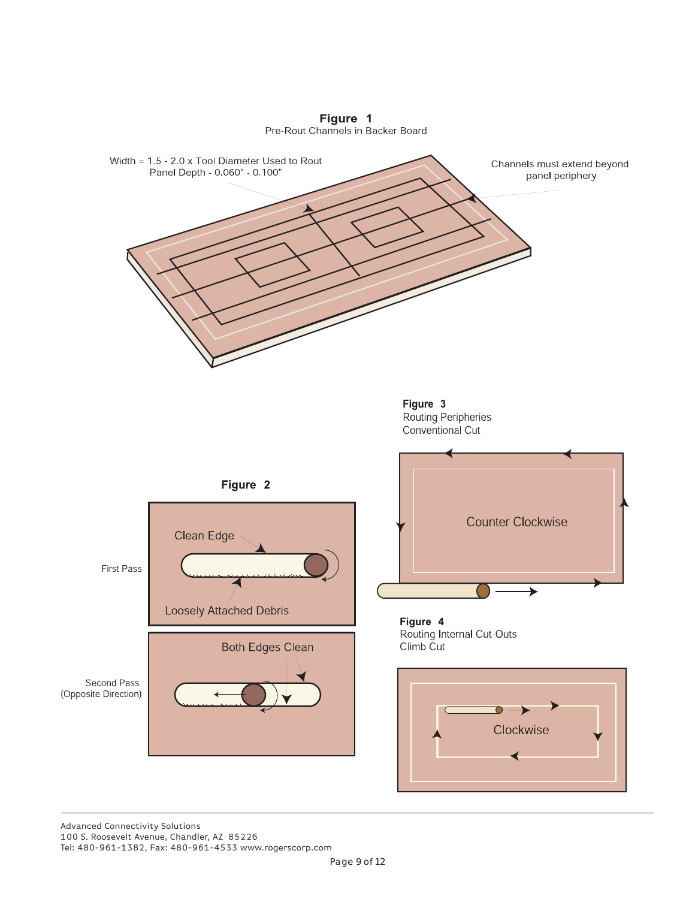

Figure 1<br>Pre-Rout Channels in Backer Board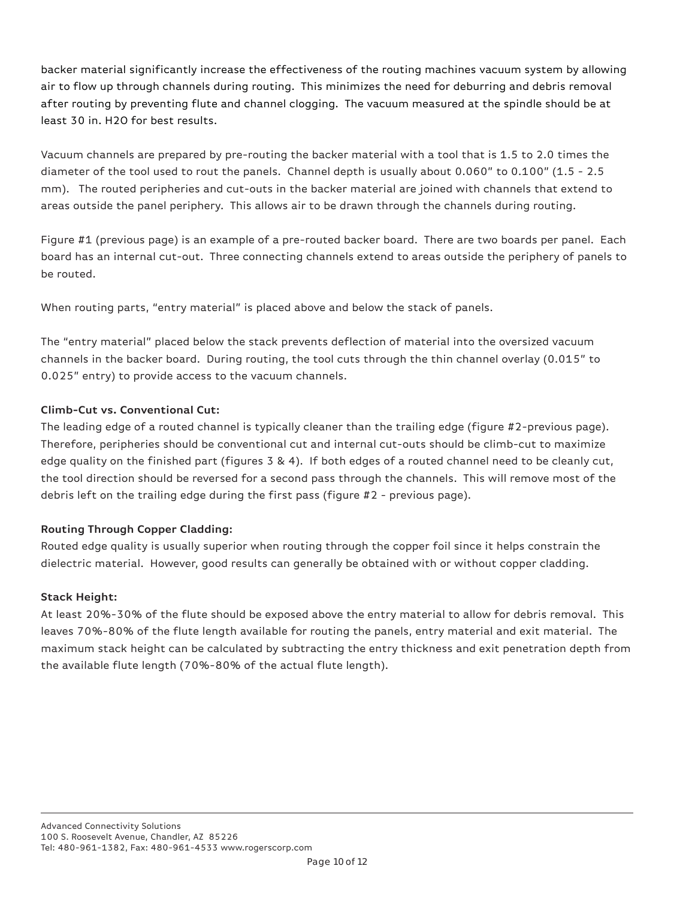backer material significantly increase the effectiveness of the routing machines vacuum system by allowing air to flow up through channels during routing. This minimizes the need for deburring and debris removal after routing by preventing flute and channel clogging. The vacuum measured at the spindle should be at least 30 in. H2O for best results.

Vacuum channels are prepared by pre-routing the backer material with a tool that is 1.5 to 2.0 times the diameter of the tool used to rout the panels. Channel depth is usually about 0.060" to 0.100" (1.5 - 2.5 mm). The routed peripheries and cut-outs in the backer material are joined with channels that extend to areas outside the panel periphery. This allows air to be drawn through the channels during routing.

Figure #1 (previous page) is an example of a pre-routed backer board. There are two boards per panel. Each board has an internal cut-out. Three connecting channels extend to areas outside the periphery of panels to be routed.

When routing parts, "entry material" is placed above and below the stack of panels.

The "entry material" placed below the stack prevents deflection of material into the oversized vacuum channels in the backer board. During routing, the tool cuts through the thin channel overlay (0.015" to 0.025" entry) to provide access to the vacuum channels.

# **Climb-Cut vs. Conventional Cut:**

The leading edge of a routed channel is typically cleaner than the trailing edge (figure  $\#2$ -previous page). Therefore, peripheries should be conventional cut and internal cut-outs should be climb-cut to maximize edge quality on the finished part (figures 3 & 4). If both edges of a routed channel need to be cleanly cut, the tool direction should be reversed for a second pass through the channels. This will remove most of the debris left on the trailing edge during the first pass (figure  $#2$  - previous page).

# **Routing Through Copper Cladding:**

Routed edge quality is usually superior when routing through the copper foil since it helps constrain the dielectric material. However, good results can generally be obtained with or without copper cladding.

# **Stack Height:**

At least 20%-30% of the flute should be exposed above the entry material to allow for debris removal. This leaves 70%-80% of the flute length available for routing the panels, entry material and exit material. The maximum stack height can be calculated by subtracting the entry thickness and exit penetration depth from the available flute length (70%-80% of the actual flute length).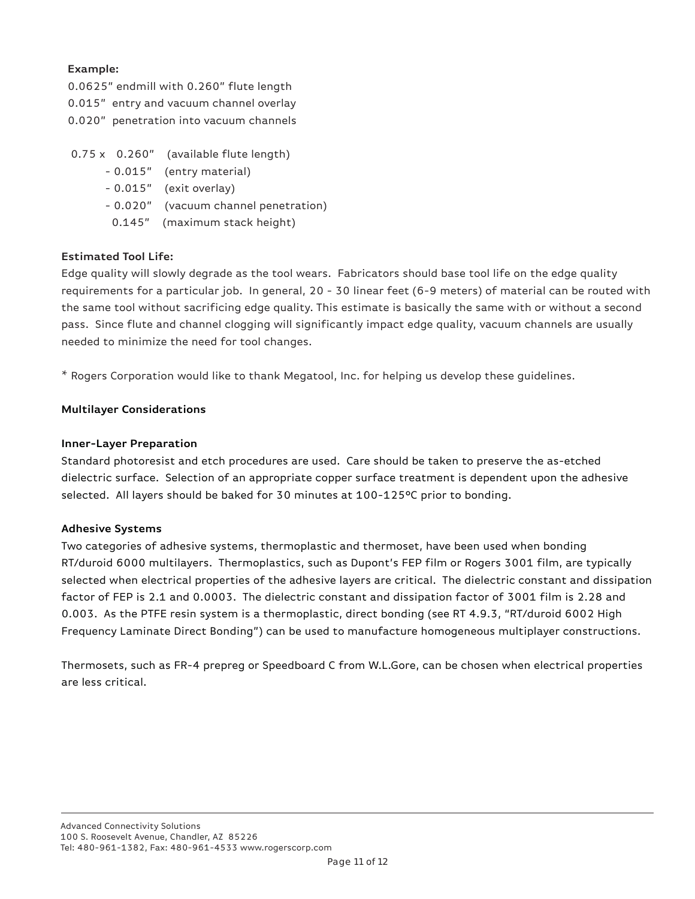# **Example:**

0.0625" endmill with 0.260" flute length 0.015" entry and vacuum channel overlay 0.020" penetration into vacuum channels

- $0.75 \times 0.260''$  (available flute length)
	- 0.015" (entry material)
	- 0.015" (exit overlay)
	- 0.020" (vacuum channel penetration)
	- 0.145" (maximum stack height)

# **Estimated Tool Life:**

Edge quality will slowly degrade as the tool wears. Fabricators should base tool life on the edge quality requirements for a particular job. In general, 20 - 30 linear feet (6-9 meters) of material can be routed with the same tool without sacrificing edge quality. This estimate is basically the same with or without a second pass. Since flute and channel clogging will significantly impact edge quality, vacuum channels are usually needed to minimize the need for tool changes.

\* Rogers Corporation would like to thank Megatool, Inc. for helping us develop these guidelines.

# **Multilayer Considerations**

## **Inner-Layer Preparation**

Standard photoresist and etch procedures are used. Care should be taken to preserve the as-etched dielectric surface. Selection of an appropriate copper surface treatment is dependent upon the adhesive selected. All layers should be baked for 30 minutes at 100-125°C prior to bonding.

## **Adhesive Systems**

Two categories of adhesive systems, thermoplastic and thermoset, have been used when bonding RT/duroid 6000 multilayers. Thermoplastics, such as Dupont's FEP film or Rogers 3001 film, are typically selected when electrical properties of the adhesive layers are critical. The dielectric constant and dissipation factor of FEP is 2.1 and 0.0003. The dielectric constant and dissipation factor of 3001 film is 2.28 and 0.003. As the PTFE resin system is a thermoplastic, direct bonding (see RT 4.9.3, "RT/duroid 6002 High Frequency Laminate Direct Bonding") can be used to manufacture homogeneous multiplayer constructions.

Thermosets, such as FR-4 prepreg or Speedboard C from W.L.Gore, can be chosen when electrical properties are less critical.